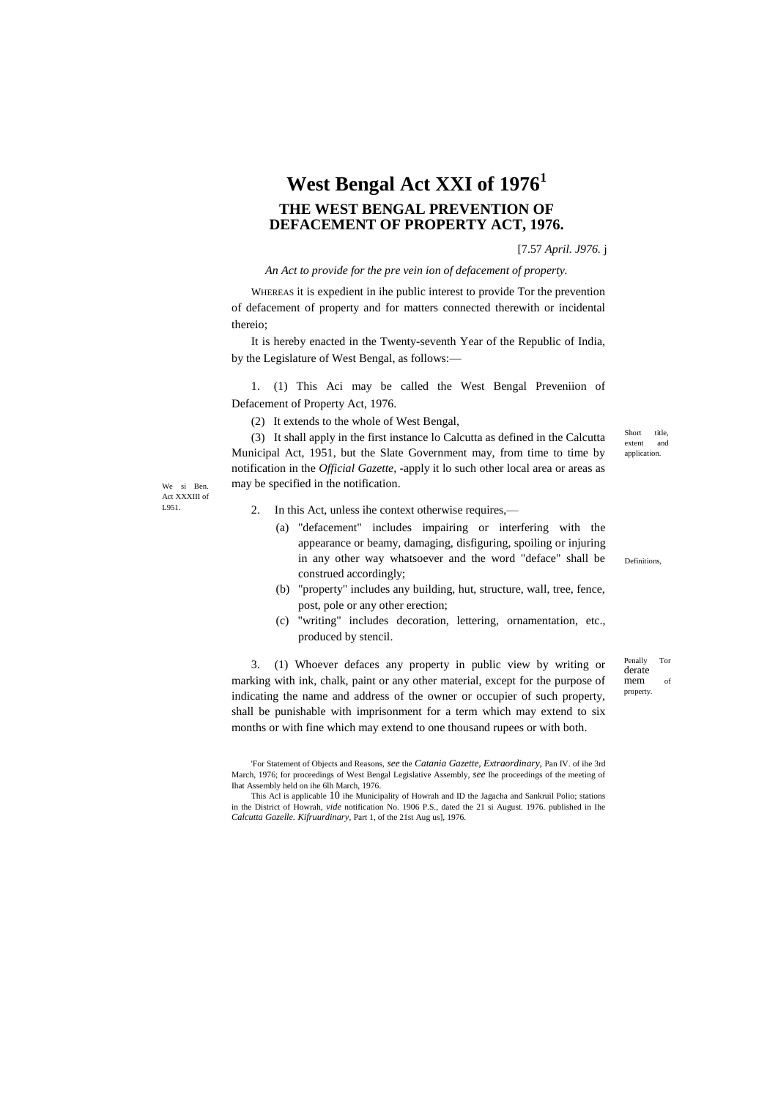## **West Bengal Act XXI of 1976<sup>1</sup> THE WEST BENGAL PREVENTION OF DEFACEMENT OF PROPERTY ACT, 1976.**

[7.57 *April. J976.* j

*An Act to provide for the pre vein ion of defacement of property.*

WHEREAS it is expedient in ihe public interest to provide Tor the prevention of defacement of property and for matters connected therewith or incidental thereio;

It is hereby enacted in the Twenty-seventh Year of the Republic of India, by the Legislature of West Bengal, as follows:—

1. (1) This Aci may be called the West Bengal Preveniion of Defacement of Property Act, 1976.

(2) It extends to the whole of West Bengal,

(3) It shall apply in the first instance lo Calcutta as defined in the Calcutta Municipal Act, 1951, but the Slate Government may, from time to time by notification in the *Official Gazette,* -apply it lo such other local area or areas as may be specified in the notification.

We si Ben. Act XXXIII of L951.

- 2. In this Act, unless ihe context otherwise requires,—
	- (a) "defacement" includes impairing or interfering with the appearance or beamy, damaging, disfiguring, spoiling or injuring in any other way whatsoever and the word "deface" shall be construed accordingly;
	- (b) "property" includes any building, hut, structure, wall, tree, fence, post, pole or any other erection;
	- (c) "writing" includes decoration, lettering, ornamentation, etc., produced by stencil.

3. (1) Whoever defaces any property in public view by writing or marking with ink, chalk, paint or any other material, except for the purpose of indicating the name and address of the owner or occupier of such property, shall be punishable with imprisonment for a term which may extend to six months or with fine which may extend to one thousand rupees or with both.

Short title, extent and application.

Definitions,

Penally Tor derate mem of property.

<sup>&#</sup>x27;For Statement of Objects and Reasons, *see* the *Catania Gazette, Extraordinary,* Pan IV. of ihe 3rd March, 1976; for proceedings of West Bengal Legislative Assembly, *see* Ihe proceedings of the meeting of Ihat Assembly held on ihe 6lh March, 1976.

This Acl is applicable 10 ihe Municipality of Howrah and ID the Jagacha and Sankruil Polio; stations in the District of Howrah, *vide* notification No. 1906 P.S., dated the 21 si August. 1976. published in Ihe *Calcutta Gazelle. Kifruurdinary,* Part 1, of the 21st Aug us], 1976.